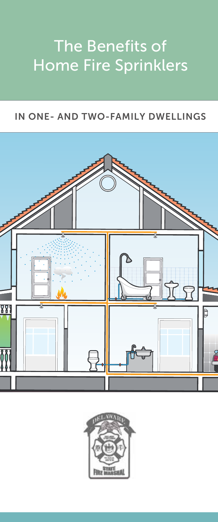# The Benefits of Home Fire Sprinklers

## IN ONE- AND TWO-FAMILY DWELLINGS



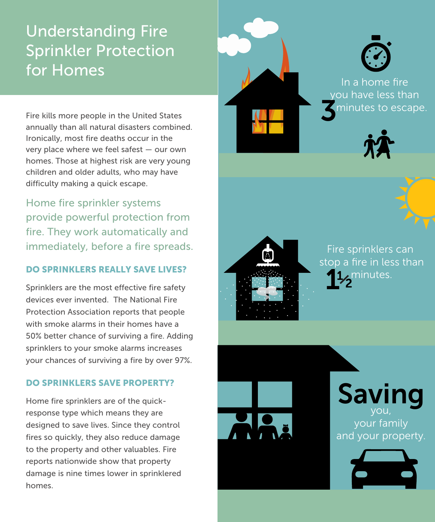# Understanding Fire Sprinkler Protection for Homes

Fire kills more people in the United States annually than all natural disasters combined. Ironically, most fire deaths occur in the very place where we feel safest — our own homes. Those at highest risk are very young children and older adults, who may have difficulty making a quick escape.

Home fire sprinkler systems provide powerful protection from fire. They work automatically and immediately, before a fire spreads.

## DO SPRINKLERS REALLY SAVE LIVES?

Sprinklers are the most effective fire safety devices ever invented. The National Fire Protection Association reports that people with smoke alarms in their homes have a 50% better chance of surviving a fire. Adding sprinklers to your smoke alarms increases your chances of surviving a fire by over 97%.

### DO SPRINKLERS SAVE PROPERTY?

Home fire sprinklers are of the quickresponse type which means they are designed to save lives. Since they control fires so quickly, they also reduce damage to the property and other valuables. Fire reports nationwide show that property damage is nine times lower in sprinklered homes.



In a home fire you have less than minutes to escape.





Fire sprinklers can stop a fire in less than minutes.



Saving your family and your property.

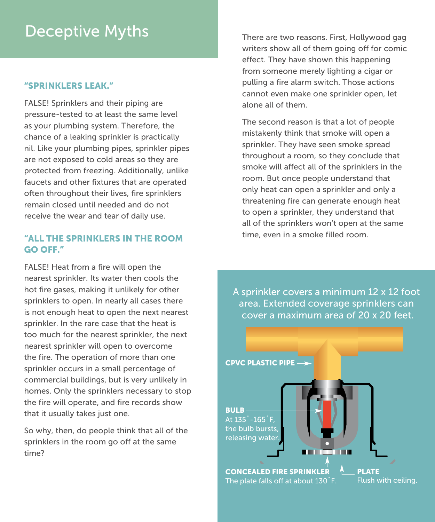# Deceptive Myths

#### "SPRINKLERS LEAK."

FALSE! Sprinklers and their piping are pressure-tested to at least the same level as your plumbing system. Therefore, the chance of a leaking sprinkler is practically nil. Like your plumbing pipes, sprinkler pipes are not exposed to cold areas so they are protected from freezing. Additionally, unlike faucets and other fixtures that are operated often throughout their lives, fire sprinklers remain closed until needed and do not receive the wear and tear of daily use.

## "ALL THE SPRINKLERS IN THE ROOM GO OFF."

FALSE! Heat from a fire will open the nearest sprinkler. Its water then cools the hot fire gases, making it unlikely for other sprinklers to open. In nearly all cases there is not enough heat to open the next nearest sprinkler. In the rare case that the heat is too much for the nearest sprinkler, the next nearest sprinkler will open to overcome the fire. The operation of more than one sprinkler occurs in a small percentage of commercial buildings, but is very unlikely in homes. Only the sprinklers necessary to stop the fire will operate, and fire records show that it usually takes just one.

So why, then, do people think that all of the sprinklers in the room go off at the same time?

There are two reasons. First, Hollywood gag writers show all of them going off for comic effect. They have shown this happening from someone merely lighting a cigar or pulling a fire alarm switch. Those actions cannot even make one sprinkler open, let alone all of them.

The second reason is that a lot of people mistakenly think that smoke will open a sprinkler. They have seen smoke spread throughout a room, so they conclude that smoke will affect all of the sprinklers in the room. But once people understand that only heat can open a sprinkler and only a threatening fire can generate enough heat to open a sprinkler, they understand that all of the sprinklers won't open at the same time, even in a smoke filled room.

A sprinkler covers a minimum 12 x 12 foot area. Extended coverage sprinklers can cover a maximum area of 20 x 20 feet.

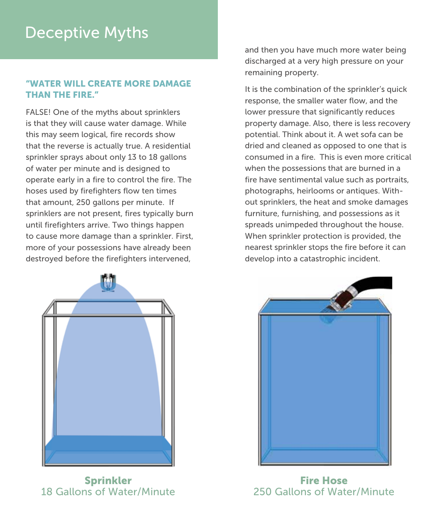# Deceptive Myths

## "WATER WILL CREATE MORE DAMAGE THAN THE FIRE."

FALSE! One of the myths about sprinklers is that they will cause water damage. While this may seem logical, fire records show that the reverse is actually true. A residential sprinkler sprays about only 13 to 18 gallons of water per minute and is designed to operate early in a fire to control the fire. The hoses used by firefighters flow ten times that amount, 250 gallons per minute. If sprinklers are not present, fires typically burn until firefighters arrive. Two things happen to cause more damage than a sprinkler. First, more of your possessions have already been destroyed before the firefighters intervened,



Sprinkler 18 Gallons of Water/Minute

and then you have much more water being discharged at a very high pressure on your remaining property.

It is the combination of the sprinkler's quick response, the smaller water flow, and the lower pressure that significantly reduces property damage. Also, there is less recovery potential. Think about it. A wet sofa can be dried and cleaned as opposed to one that is consumed in a fire. This is even more critical when the possessions that are burned in a fire have sentimental value such as portraits, photographs, heirlooms or antiques. Without sprinklers, the heat and smoke damages furniture, furnishing, and possessions as it spreads unimpeded throughout the house. When sprinkler protection is provided, the nearest sprinkler stops the fire before it can develop into a catastrophic incident.



Fire Hose 250 Gallons of Water/Minute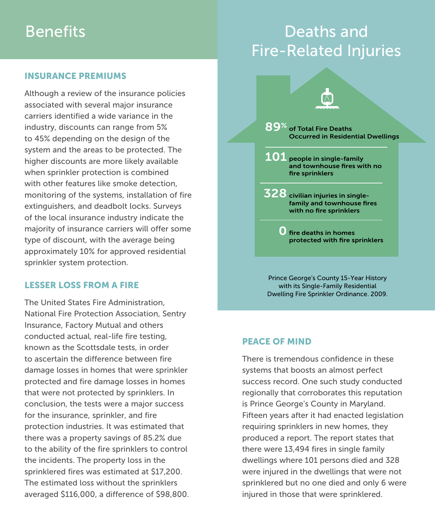# **Benefits**

# Deaths and Fire-Related Injuries

#### INSURANCE PREMIUMS

Although a review of the insurance policies associated with several major insurance carriers identified a wide variance in the industry, discounts can range from 5% to 45% depending on the design of the system and the areas to be protected. The higher discounts are more likely available when sprinkler protection is combined with other features like smoke detection. monitoring of the systems, installation of fire extinguishers, and deadbolt locks. Surveys of the local insurance industry indicate the majority of insurance carriers will offer some type of discount, with the average being approximately 10% for approved residential sprinkler system protection.

#### LESSER LOSS FROM A FIRE

The United States Fire Administration, National Fire Protection Association, Sentry Insurance, Factory Mutual and others conducted actual, real-life fire testing, known as the Scottsdale tests, in order to ascertain the difference between fire damage losses in homes that were sprinkler protected and fire damage losses in homes that were not protected by sprinklers. In conclusion, the tests were a major success for the insurance, sprinkler, and fire protection industries. It was estimated that there was a property savings of 85.2% due to the ability of the fire sprinklers to control the incidents. The property loss in the sprinklered fires was estimated at \$17,200. The estimated loss without the sprinklers averaged \$116,000, a difference of \$98,800.



Prince George's County 15-Year History with its Single-Family Residential Dwelling Fire Sprinkler Ordinance. 2009.

#### PEACE OF MIND

There is tremendous confidence in these systems that boosts an almost perfect success record. One such study conducted regionally that corroborates this reputation is Prince George's County in Maryland. Fifteen years after it had enacted legislation requiring sprinklers in new homes, they produced a report. The report states that there were 13,494 fires in single family dwellings where 101 persons died and 328 were injured in the dwellings that were not sprinklered but no one died and only 6 were injured in those that were sprinklered.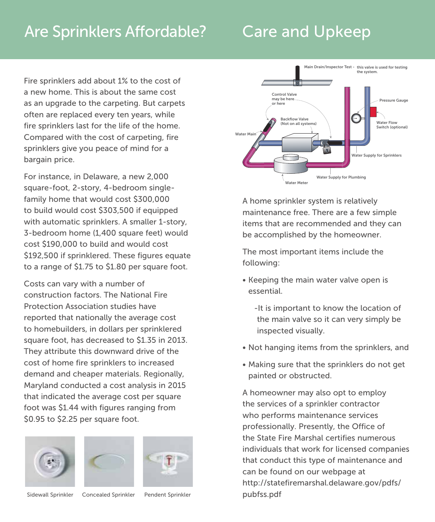# Are Sprinklers Affordable? Care and Upkeep

Fire sprinklers add about 1% to the cost of a new home. This is about the same cost as an upgrade to the carpeting. But carpets often are replaced every ten years, while fire sprinklers last for the life of the home. Compared with the cost of carpeting, fire sprinklers give you peace of mind for a bargain price.

For instance, in Delaware, a new 2,000 square-foot, 2-story, 4-bedroom singlefamily home that would cost \$300,000 to build would cost \$303,500 if equipped with automatic sprinklers. A smaller 1-story, 3-bedroom home (1,400 square feet) would cost \$190,000 to build and would cost \$192,500 if sprinklered. These figures equate to a range of \$1.75 to \$1.80 per square foot.

Costs can vary with a number of construction factors. The National Fire Protection Association studies have reported that nationally the average cost to homebuilders, in dollars per sprinklered square foot, has decreased to \$1.35 in 2013. They attribute this downward drive of the cost of home fire sprinklers to increased demand and cheaper materials. Regionally, Maryland conducted a cost analysis in 2015 that indicated the average cost per square foot was \$1.44 with figures ranging from \$0.95 to \$2.25 per square foot.







Sidewall Sprinkler Concealed Sprinkler Pendent Sprinkler



A home sprinkler system is relatively maintenance free. There are a few simple items that are recommended and they can be accomplished by the homeowner.

The most important items include the following:

• Keeping the main water valve open is essential.

 -It is important to know the location of the main valve so it can very simply be inspected visually.

- Not hanging items from the sprinklers, and
- Making sure that the sprinklers do not get painted or obstructed.

A homeowner may also opt to employ the services of a sprinkler contractor who performs maintenance services professionally. Presently, the Office of the State Fire Marshal certifies numerous individuals that work for licensed companies that conduct this type of maintenance and can be found on our webpage at http://statefiremarshal.delaware.gov/pdfs/ pubfss.pdf